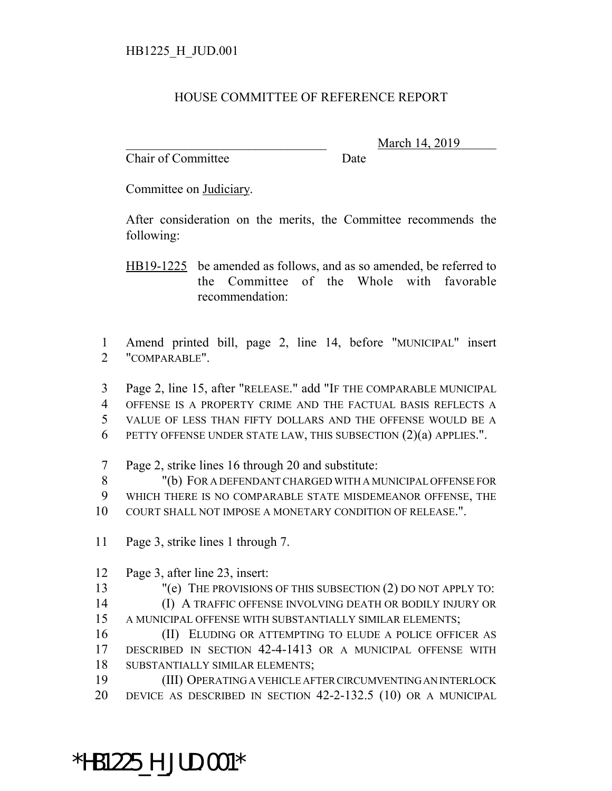## HOUSE COMMITTEE OF REFERENCE REPORT

Chair of Committee Date

March 14, 2019

Committee on Judiciary.

After consideration on the merits, the Committee recommends the following:

HB19-1225 be amended as follows, and as so amended, be referred to the Committee of the Whole with favorable recommendation:

 Amend printed bill, page 2, line 14, before "MUNICIPAL" insert "COMPARABLE".

Page 2, line 15, after "RELEASE." add "IF THE COMPARABLE MUNICIPAL

OFFENSE IS A PROPERTY CRIME AND THE FACTUAL BASIS REFLECTS A

VALUE OF LESS THAN FIFTY DOLLARS AND THE OFFENSE WOULD BE A

- PETTY OFFENSE UNDER STATE LAW, THIS SUBSECTION (2)(a) APPLIES.".
- Page 2, strike lines 16 through 20 and substitute:

 "(b) FOR A DEFENDANT CHARGED WITH A MUNICIPAL OFFENSE FOR WHICH THERE IS NO COMPARABLE STATE MISDEMEANOR OFFENSE, THE COURT SHALL NOT IMPOSE A MONETARY CONDITION OF RELEASE.".

- Page 3, strike lines 1 through 7.
- Page 3, after line 23, insert:

"(e) THE PROVISIONS OF THIS SUBSECTION (2) DO NOT APPLY TO:

 (I) A TRAFFIC OFFENSE INVOLVING DEATH OR BODILY INJURY OR A MUNICIPAL OFFENSE WITH SUBSTANTIALLY SIMILAR ELEMENTS;

 (II) ELUDING OR ATTEMPTING TO ELUDE A POLICE OFFICER AS DESCRIBED IN SECTION 42-4-1413 OR A MUNICIPAL OFFENSE WITH SUBSTANTIALLY SIMILAR ELEMENTS;

 (III) OPERATING A VEHICLE AFTER CIRCUMVENTING AN INTERLOCK DEVICE AS DESCRIBED IN SECTION 42-2-132.5 (10) OR A MUNICIPAL

## \*HB1225\_H\_JUD.001\*